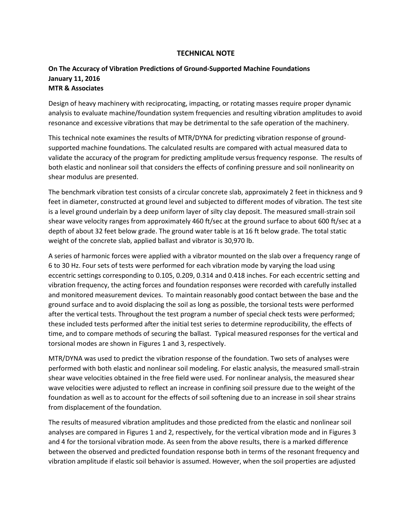## **TECHNICAL NOTE**

## **On The Accuracy of Vibration Predictions of Ground-Supported Machine Foundations January 11, 2016 MTR & Associates**

Design of heavy machinery with reciprocating, impacting, or rotating masses require proper dynamic analysis to evaluate machine/foundation system frequencies and resulting vibration amplitudes to avoid resonance and excessive vibrations that may be detrimental to the safe operation of the machinery.

This technical note examines the results of MTR/DYNA for predicting vibration response of groundsupported machine foundations. The calculated results are compared with actual measured data to validate the accuracy of the program for predicting amplitude versus frequency response. The results of both elastic and nonlinear soil that considers the effects of confining pressure and soil nonlinearity on shear modulus are presented.

The benchmark vibration test consists of a circular concrete slab, approximately 2 feet in thickness and 9 feet in diameter, constructed at ground level and subjected to different modes of vibration. The test site is a level ground underlain by a deep uniform layer of silty clay deposit. The measured small-strain soil shear wave velocity ranges from approximately 460 ft/sec at the ground surface to about 600 ft/sec at a depth of about 32 feet below grade. The ground water table is at 16 ft below grade. The total static weight of the concrete slab, applied ballast and vibrator is 30,970 lb.

A series of harmonic forces were applied with a vibrator mounted on the slab over a frequency range of 6 to 30 Hz. Four sets of tests were performed for each vibration mode by varying the load using eccentric settings corresponding to 0.105, 0.209, 0.314 and 0.418 inches. For each eccentric setting and vibration frequency, the acting forces and foundation responses were recorded with carefully installed and monitored measurement devices. To maintain reasonably good contact between the base and the ground surface and to avoid displacing the soil as long as possible, the torsional tests were performed after the vertical tests. Throughout the test program a number of special check tests were performed; these included tests performed after the initial test series to determine reproducibility, the effects of time, and to compare methods of securing the ballast. Typical measured responses for the vertical and torsional modes are shown in Figures 1 and 3, respectively.

MTR/DYNA was used to predict the vibration response of the foundation. Two sets of analyses were performed with both elastic and nonlinear soil modeling. For elastic analysis, the measured small-strain shear wave velocities obtained in the free field were used. For nonlinear analysis, the measured shear wave velocities were adjusted to reflect an increase in confining soil pressure due to the weight of the foundation as well as to account for the effects of soil softening due to an increase in soil shear strains from displacement of the foundation.

The results of measured vibration amplitudes and those predicted from the elastic and nonlinear soil analyses are compared in Figures 1 and 2, respectively, for the vertical vibration mode and in Figures 3 and 4 for the torsional vibration mode. As seen from the above results, there is a marked difference between the observed and predicted foundation response both in terms of the resonant frequency and vibration amplitude if elastic soil behavior is assumed. However, when the soil properties are adjusted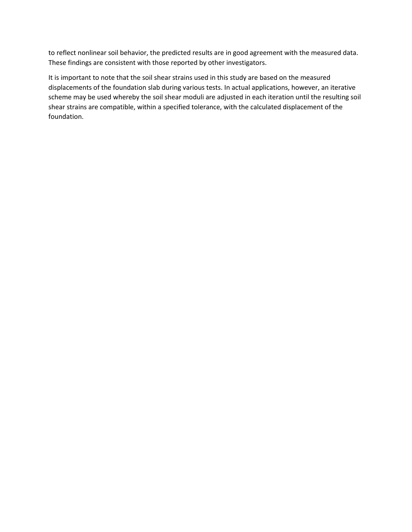to reflect nonlinear soil behavior, the predicted results are in good agreement with the measured data. These findings are consistent with those reported by other investigators.

It is important to note that the soil shear strains used in this study are based on the measured displacements of the foundation slab during various tests. In actual applications, however, an iterative scheme may be used whereby the soil shear moduli are adjusted in each iteration until the resulting soil shear strains are compatible, within a specified tolerance, with the calculated displacement of the foundation.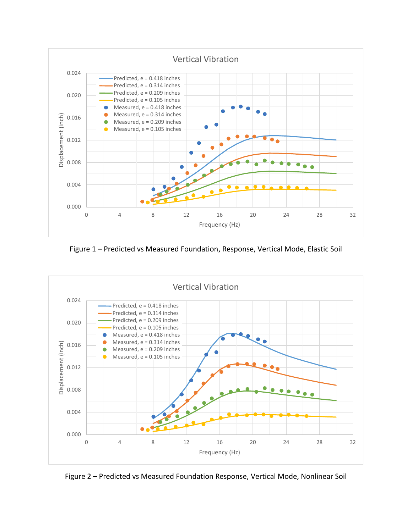

Figure 1 – Predicted vs Measured Foundation, Response, Vertical Mode, Elastic Soil



Figure 2 – Predicted vs Measured Foundation Response, Vertical Mode, Nonlinear Soil